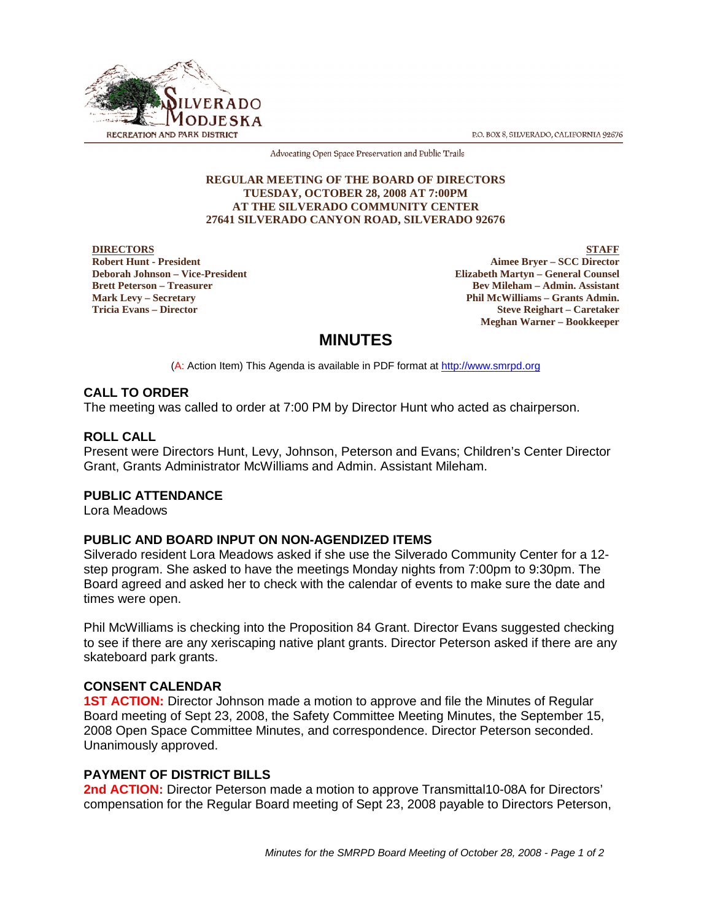P.O. BOX 8, SILVERADO, CALIFORNIA 92676



Advocating Open Space Preservation and Public Trails

#### **REGULAR MEETING OF THE BOARD OF DIRECTORS TUESDAY, OCTOBER 28, 2008 AT 7:00PM AT THE SILVERADO COMMUNITY CENTER 27641 SILVERADO CANYON ROAD, SILVERADO 92676**

**DIRECTORS Robert Hunt - President Deborah Johnson – Vice-President Brett Peterson – Treasurer Mark Levy – Secretary Tricia Evans – Director**

**STAFF Aimee Bryer – SCC Director Elizabeth Martyn – General Counsel Bev Mileham – Admin. Assistant Phil McWilliams – Grants Admin. Steve Reighart – Caretaker Meghan Warner – Bookkeeper**

# **MINUTES**

(A: Action Item) This Agenda is available in PDF format at http://www.smrpd.org

## **CALL TO ORDER**

The meeting was called to order at 7:00 PM by Director Hunt who acted as chairperson.

## **ROLL CALL**

Present were Directors Hunt, Levy, Johnson, Peterson and Evans; Children's Center Director Grant, Grants Administrator McWilliams and Admin. Assistant Mileham.

## **PUBLIC ATTENDANCE**

Lora Meadows

## **PUBLIC AND BOARD INPUT ON NON-AGENDIZED ITEMS**

Silverado resident Lora Meadows asked if she use the Silverado Community Center for a 12 step program. She asked to have the meetings Monday nights from 7:00pm to 9:30pm. The Board agreed and asked her to check with the calendar of events to make sure the date and times were open.

Phil McWilliams is checking into the Proposition 84 Grant. Director Evans suggested checking to see if there are any xeriscaping native plant grants. Director Peterson asked if there are any skateboard park grants.

## **CONSENT CALENDAR**

**1ST ACTION:** Director Johnson made a motion to approve and file the Minutes of Regular Board meeting of Sept 23, 2008, the Safety Committee Meeting Minutes, the September 15, 2008 Open Space Committee Minutes, and correspondence. Director Peterson seconded. Unanimously approved.

## **PAYMENT OF DISTRICT BILLS**

**2nd ACTION:** Director Peterson made a motion to approve Transmittal10-08A for Directors' compensation for the Regular Board meeting of Sept 23, 2008 payable to Directors Peterson,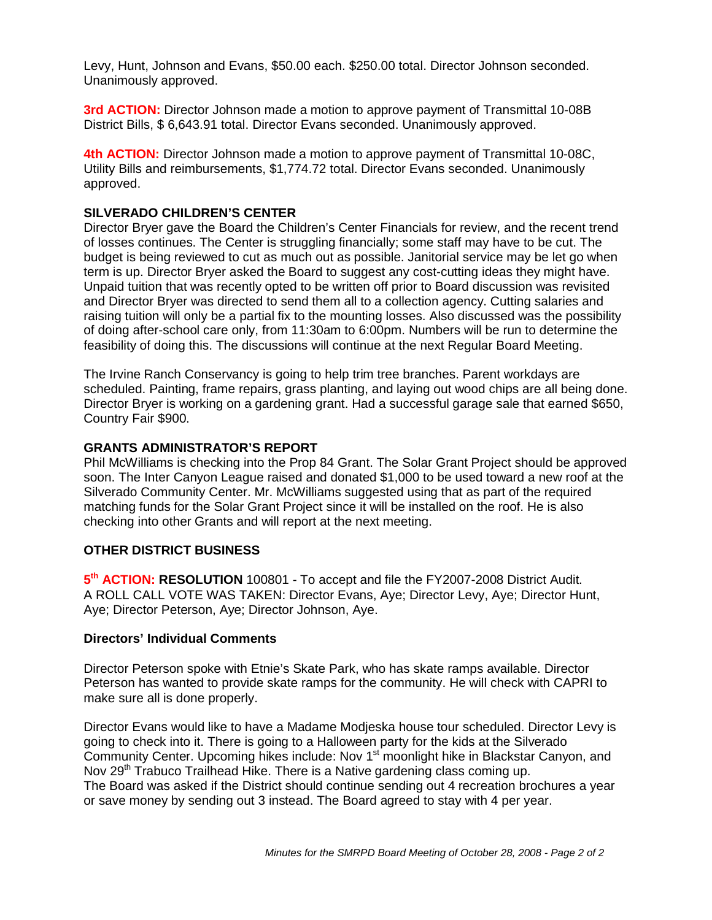Levy, Hunt, Johnson and Evans, \$50.00 each. \$250.00 total. Director Johnson seconded. Unanimously approved.

**3rd ACTION:** Director Johnson made a motion to approve payment of Transmittal 10-08B District Bills, \$ 6,643.91 total. Director Evans seconded. Unanimously approved.

**4th ACTION:** Director Johnson made a motion to approve payment of Transmittal 10-08C, Utility Bills and reimbursements, \$1,774.72 total. Director Evans seconded. Unanimously approved.

#### **SILVERADO CHILDREN'S CENTER**

Director Bryer gave the Board the Children's Center Financials for review, and the recent trend of losses continues. The Center is struggling financially; some staff may have to be cut. The budget is being reviewed to cut as much out as possible. Janitorial service may be let go when term is up. Director Bryer asked the Board to suggest any cost-cutting ideas they might have. Unpaid tuition that was recently opted to be written off prior to Board discussion was revisited and Director Bryer was directed to send them all to a collection agency. Cutting salaries and raising tuition will only be a partial fix to the mounting losses. Also discussed was the possibility of doing after-school care only, from 11:30am to 6:00pm. Numbers will be run to determine the feasibility of doing this. The discussions will continue at the next Regular Board Meeting.

The Irvine Ranch Conservancy is going to help trim tree branches. Parent workdays are scheduled. Painting, frame repairs, grass planting, and laying out wood chips are all being done. Director Bryer is working on a gardening grant. Had a successful garage sale that earned \$650, Country Fair \$900.

#### **GRANTS ADMINISTRATOR'S REPORT**

Phil McWilliams is checking into the Prop 84 Grant. The Solar Grant Project should be approved soon. The Inter Canyon League raised and donated \$1,000 to be used toward a new roof at the Silverado Community Center. Mr. McWilliams suggested using that as part of the required matching funds for the Solar Grant Project since it will be installed on the roof. He is also checking into other Grants and will report at the next meeting.

#### **OTHER DISTRICT BUSINESS**

5<sup>th</sup> **ACTION: RESOLUTION** 100801 - To accept and file the FY2007-2008 District Audit. A ROLL CALL VOTE WAS TAKEN: Director Evans, Aye; Director Levy, Aye; Director Hunt, Aye; Director Peterson, Aye; Director Johnson, Aye.

#### **Directors' Individual Comments**

Director Peterson spoke with Etnie's Skate Park, who has skate ramps available. Director Peterson has wanted to provide skate ramps for the community. He will check with CAPRI to make sure all is done properly.

Director Evans would like to have a Madame Modjeska house tour scheduled. Director Levy is going to check into it. There is going to a Halloween party for the kids at the Silverado Community Center. Upcoming hikes include: Nov 1<sup>st</sup> moonlight hike in Blackstar Canyon, and Nov 29<sup>th</sup> Trabuco Trailhead Hike. There is a Native gardening class coming up. The Board was asked if the District should continue sending out 4 recreation brochures a year or save money by sending out 3 instead. The Board agreed to stay with 4 per year.